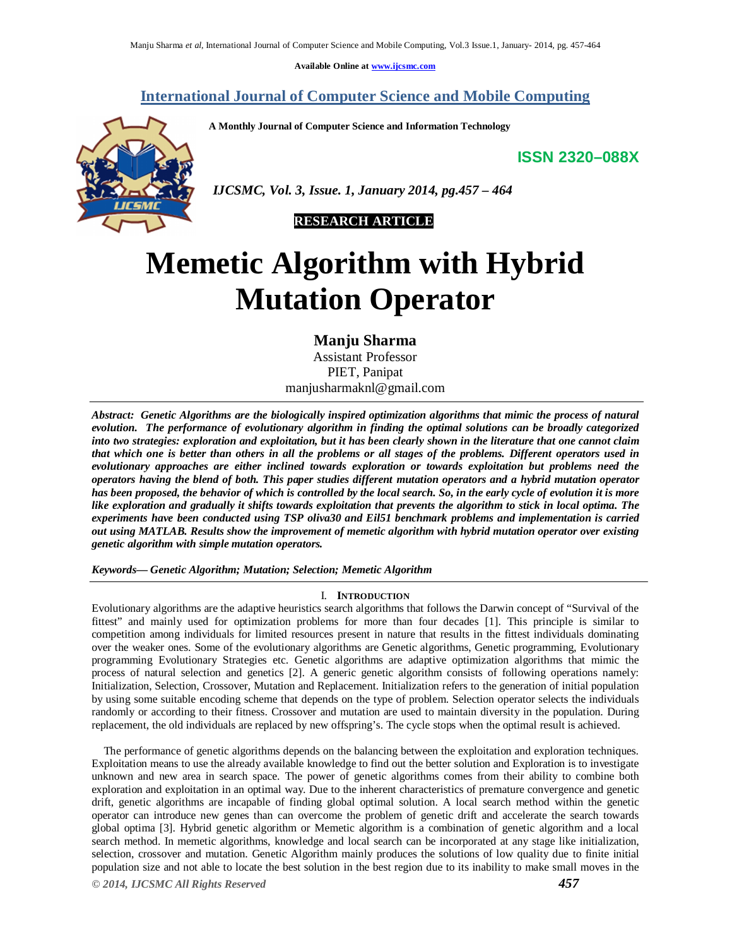**Available Online at www.ijcsmc.com**

# **International Journal of Computer Science and Mobile Computing**

**A Monthly Journal of Computer Science and Information Technology**

**ISSN 2320–088X**



 *IJCSMC, Vol. 3, Issue. 1, January 2014, pg.457 – 464*



# **Memetic Algorithm with Hybrid Mutation Operator**

**Manju Sharma** Assistant Professor PIET, Panipat manjusharmaknl@gmail.com

*Abstract: Genetic Algorithms are the biologically inspired optimization algorithms that mimic the process of natural evolution. The performance of evolutionary algorithm in finding the optimal solutions can be broadly categorized into two strategies: exploration and exploitation, but it has been clearly shown in the literature that one cannot claim that which one is better than others in all the problems or all stages of the problems. Different operators used in evolutionary approaches are either inclined towards exploration or towards exploitation but problems need the operators having the blend of both. This paper studies different mutation operators and a hybrid mutation operator has been proposed, the behavior of which is controlled by the local search. So, in the early cycle of evolution it is more like exploration and gradually it shifts towards exploitation that prevents the algorithm to stick in local optima. The experiments have been conducted using TSP oliva30 and Eil51 benchmark problems and implementation is carried out using MATLAB. Results show the improvement of memetic algorithm with hybrid mutation operator over existing genetic algorithm with simple mutation operators.*

*Keywords— Genetic Algorithm; Mutation; Selection; Memetic Algorithm*

# I. **INTRODUCTION**

Evolutionary algorithms are the adaptive heuristics search algorithms that follows the Darwin concept of "Survival of the fittest" and mainly used for optimization problems for more than four decades [1]. This principle is similar to competition among individuals for limited resources present in nature that results in the fittest individuals dominating over the weaker ones. Some of the evolutionary algorithms are Genetic algorithms, Genetic programming, Evolutionary programming Evolutionary Strategies etc. Genetic algorithms are adaptive optimization algorithms that mimic the process of natural selection and genetics [2]. A generic genetic algorithm consists of following operations namely: Initialization, Selection, Crossover, Mutation and Replacement. Initialization refers to the generation of initial population by using some suitable encoding scheme that depends on the type of problem. Selection operator selects the individuals randomly or according to their fitness. Crossover and mutation are used to maintain diversity in the population. During replacement, the old individuals are replaced by new offspring's. The cycle stops when the optimal result is achieved.

The performance of genetic algorithms depends on the balancing between the exploitation and exploration techniques. Exploitation means to use the already available knowledge to find out the better solution and Exploration is to investigate unknown and new area in search space. The power of genetic algorithms comes from their ability to combine both exploration and exploitation in an optimal way. Due to the inherent characteristics of premature convergence and genetic drift, genetic algorithms are incapable of finding global optimal solution. A local search method within the genetic operator can introduce new genes than can overcome the problem of genetic drift and accelerate the search towards global optima [3]. Hybrid genetic algorithm or Memetic algorithm is a combination of genetic algorithm and a local search method. In memetic algorithms, knowledge and local search can be incorporated at any stage like initialization, selection, crossover and mutation. Genetic Algorithm mainly produces the solutions of low quality due to finite initial population size and not able to locate the best solution in the best region due to its inability to make small moves in the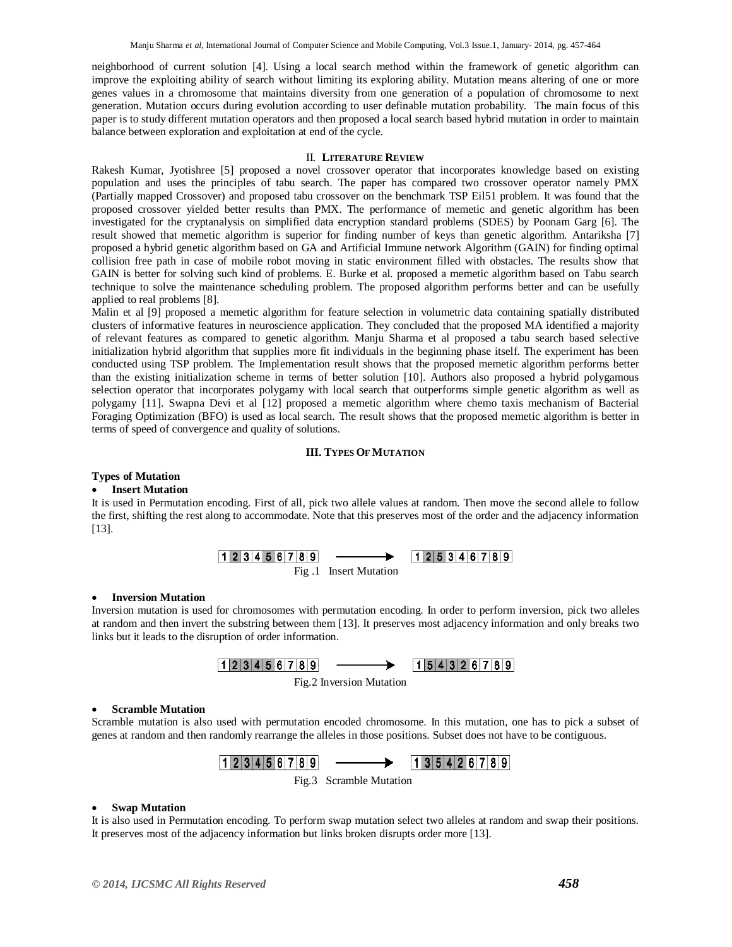neighborhood of current solution [4]. Using a local search method within the framework of genetic algorithm can improve the exploiting ability of search without limiting its exploring ability. Mutation means altering of one or more genes values in a chromosome that maintains diversity from one generation of a population of chromosome to next generation. Mutation occurs during evolution according to user definable mutation probability. The main focus of this paper is to study different mutation operators and then proposed a local search based hybrid mutation in order to maintain balance between exploration and exploitation at end of the cycle.

# II. **LITERATURE REVIEW**

Rakesh Kumar, Jyotishree [5] proposed a novel crossover operator that incorporates knowledge based on existing population and uses the principles of tabu search. The paper has compared two crossover operator namely PMX (Partially mapped Crossover) and proposed tabu crossover on the benchmark TSP Eil51 problem. It was found that the proposed crossover yielded better results than PMX. The performance of memetic and genetic algorithm has been investigated for the cryptanalysis on simplified data encryption standard problems (SDES) by Poonam Garg [6]. The result showed that memetic algorithm is superior for finding number of keys than genetic algorithm. Antariksha [7] proposed a hybrid genetic algorithm based on GA and Artificial Immune network Algorithm (GAIN) for finding optimal collision free path in case of mobile robot moving in static environment filled with obstacles. The results show that GAIN is better for solving such kind of problems. E. Burke et al. proposed a memetic algorithm based on Tabu search technique to solve the maintenance scheduling problem. The proposed algorithm performs better and can be usefully applied to real problems [8].

Malin et al [9] proposed a memetic algorithm for feature selection in volumetric data containing spatially distributed clusters of informative features in neuroscience application. They concluded that the proposed MA identified a majority of relevant features as compared to genetic algorithm. Manju Sharma et al proposed a tabu search based selective initialization hybrid algorithm that supplies more fit individuals in the beginning phase itself. The experiment has been conducted using TSP problem. The Implementation result shows that the proposed memetic algorithm performs better than the existing initialization scheme in terms of better solution [10]. Authors also proposed a hybrid polygamous selection operator that incorporates polygamy with local search that outperforms simple genetic algorithm as well as polygamy [11]. Swapna Devi et al [12] proposed a memetic algorithm where chemo taxis mechanism of Bacterial Foraging Optimization (BFO) is used as local search. The result shows that the proposed memetic algorithm is better in terms of speed of convergence and quality of solutions.

# **III. TYPES OFMUTATION**

# **Types of Mutation**

# **Insert Mutation**

It is used in Permutation encoding. First of all, pick two allele values at random. Then move the second allele to follow the first, shifting the rest along to accommodate. Note that this preserves most of the order and the adjacency information [13].

Fig .1 Insert Mutation

# **Inversion Mutation**

Inversion mutation is used for chromosomes with permutation encoding. In order to perform inversion, pick two alleles at random and then invert the substring between them [13]. It preserves most adjacency information and only breaks two links but it leads to the disruption of order information.



Fig.2 Inversion Mutation

# **Scramble Mutation**

Scramble mutation is also used with permutation encoded chromosome. In this mutation, one has to pick a subset of genes at random and then randomly rearrange the alleles in those positions. Subset does not have to be contiguous.



# **Swap Mutation**

It is also used in Permutation encoding. To perform swap mutation select two alleles at random and swap their positions. It preserves most of the adjacency information but links broken disrupts order more [13].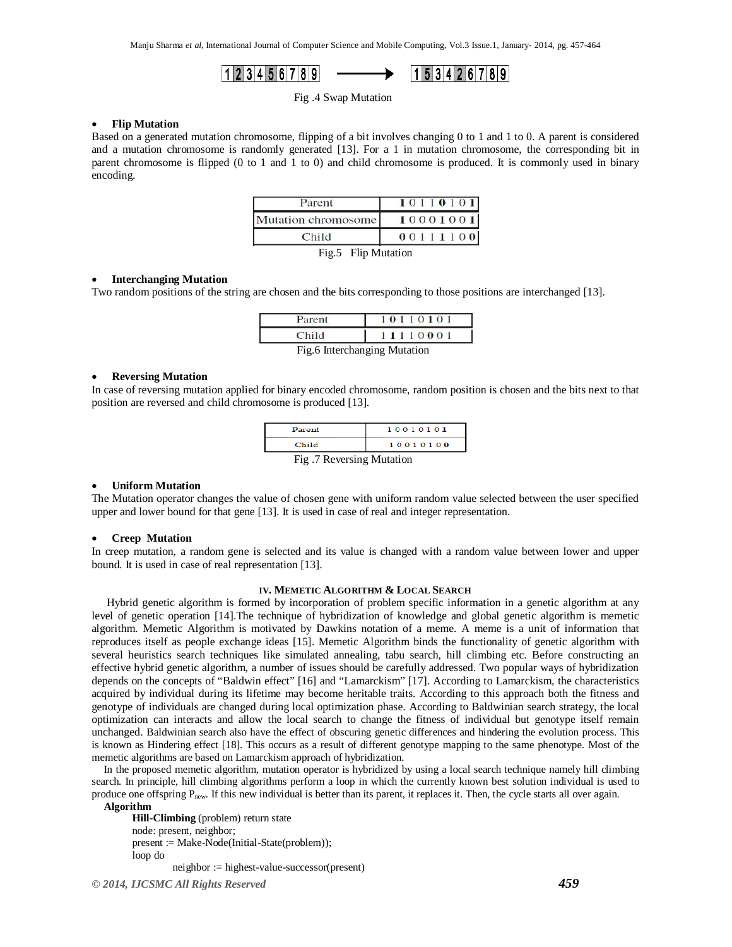Manju Sharma *et al*, International Journal of Computer Science and Mobile Computing, Vol.3 Issue.1, January- 2014, pg. 457-464

$$
1|2|3|4|5|6|7|8|9 \longrightarrow
$$

$$
1\,5\,3\,4\,2\,6\,7\,8\,9
$$

Fig .4 Swap Mutation

# **Flip Mutation**

Based on a generated mutation chromosome, flipping of a bit involves changing 0 to 1 and 1 to 0. A parent is considered and a mutation chromosome is randomly generated [13]. For a 1 in mutation chromosome, the corresponding bit in parent chromosome is flipped (0 to 1 and 1 to 0) and child chromosome is produced. It is commonly used in binary encoding.

| Parent              | 10110101 |
|---------------------|----------|
| Mutation chromosome | 10001001 |
| Child               | 00111100 |
| Fig.5 Flip Mutation |          |

# **Interchanging Mutation**

Two random positions of the string are chosen and the bits corresponding to those positions are interchanged [13].

| Parent | 011010                               |
|--------|--------------------------------------|
|        | 11110001                             |
|        | $E_{10}$ 6 Interestion aire Mutation |

#### Fig.6 Interchanging Mutation

### **Reversing Mutation**

In case of reversing mutation applied for binary encoded chromosome, random position is chosen and the bits next to that position are reversed and child chromosome is produced [13].

| Parent                    | 10010101 |  |  |  |
|---------------------------|----------|--|--|--|
| Child                     | 10010100 |  |  |  |
| Fig. 7 Reversing Mutation |          |  |  |  |

# **Uniform Mutation**

The Mutation operator changes the value of chosen gene with uniform random value selected between the user specified upper and lower bound for that gene [13]. It is used in case of real and integer representation.

# **Creep Mutation**

In creep mutation, a random gene is selected and its value is changed with a random value between lower and upper bound*.* It is used in case of real representation [13].

# **IV. MEMETIC ALGORITHM & LOCAL SEARCH**

Hybrid genetic algorithm is formed by incorporation of problem specific information in a genetic algorithm at any level of genetic operation [14].The technique of hybridization of knowledge and global genetic algorithm is memetic algorithm. Memetic Algorithm is motivated by Dawkins notation of a meme. A meme is a unit of information that reproduces itself as people exchange ideas [15]. Memetic Algorithm binds the functionality of genetic algorithm with several heuristics search techniques like simulated annealing, tabu search, hill climbing etc. Before constructing an effective hybrid genetic algorithm, a number of issues should be carefully addressed. Two popular ways of hybridization depends on the concepts of "Baldwin effect" [16] and "Lamarckism" [17]. According to Lamarckism, the characteristics acquired by individual during its lifetime may become heritable traits. According to this approach both the fitness and genotype of individuals are changed during local optimization phase. According to Baldwinian search strategy, the local optimization can interacts and allow the local search to change the fitness of individual but genotype itself remain unchanged. Baldwinian search also have the effect of obscuring genetic differences and hindering the evolution process. This is known as Hindering effect [18]. This occurs as a result of different genotype mapping to the same phenotype. Most of the memetic algorithms are based on Lamarckism approach of hybridization.

In the proposed memetic algorithm, mutation operator is hybridized by using a local search technique namely hill climbing search. In principle, hill climbing algorithms perform a loop in which the currently known best solution individual is used to produce one offspring  $P_{\text{new}}$ . If this new individual is better than its parent, it replaces it. Then, the cycle starts all over again.

# **Algorithm**

**Hill-Climbing** (problem) return state node: present, neighbor; present := Make-Node(Initial-State(problem)); loop do neighbor := highest-value-successor(present)

*© 2014, IJCSMC All Rights Reserved 459*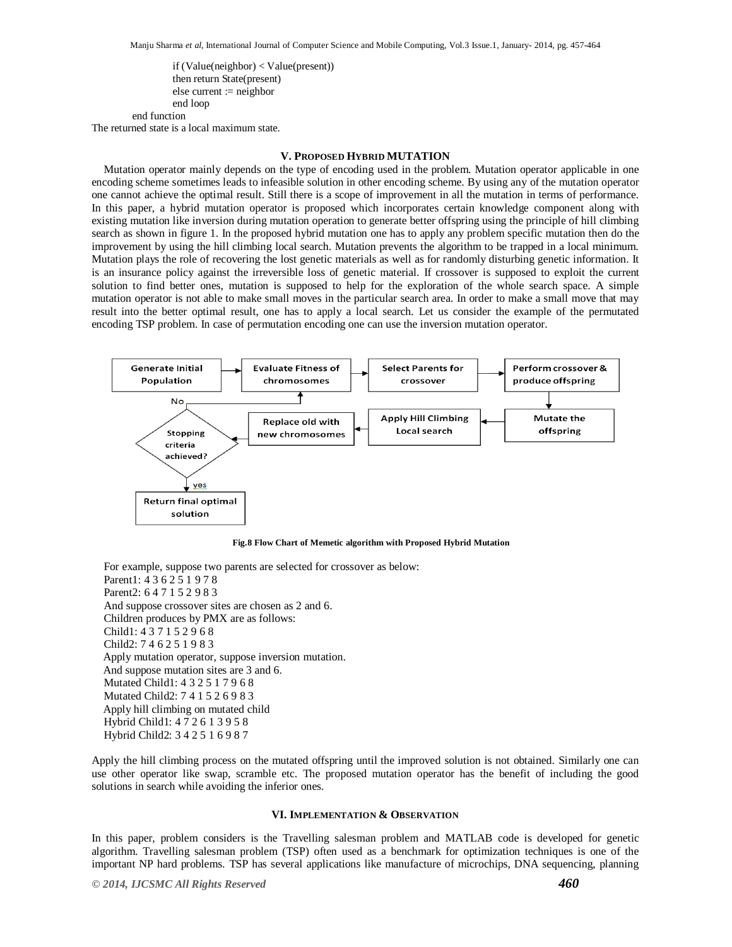if (Value(neighbor) < Value(present)) then return State(present) else current := neighbor end loop end function

The returned state is a local maximum state.

# **V. PROPOSED HYBRID MUTATION**

Mutation operator mainly depends on the type of encoding used in the problem. Mutation operator applicable in one encoding scheme sometimes leads to infeasible solution in other encoding scheme. By using any of the mutation operator one cannot achieve the optimal result. Still there is a scope of improvement in all the mutation in terms of performance. In this paper, a hybrid mutation operator is proposed which incorporates certain knowledge component along with existing mutation like inversion during mutation operation to generate better offspring using the principle of hill climbing search as shown in figure 1. In the proposed hybrid mutation one has to apply any problem specific mutation then do the improvement by using the hill climbing local search. Mutation prevents the algorithm to be trapped in a local minimum. Mutation plays the role of recovering the lost genetic materials as well as for randomly disturbing genetic information. It is an insurance policy against the irreversible loss of genetic material. If crossover is supposed to exploit the current solution to find better ones, mutation is supposed to help for the exploration of the whole search space. A simple mutation operator is not able to make small moves in the particular search area. In order to make a small move that may result into the better optimal result, one has to apply a local search. Let us consider the example of the permutated encoding TSP problem. In case of permutation encoding one can use the inversion mutation operator.



**Fig.8 Flow Chart of Memetic algorithm with Proposed Hybrid Mutation**

For example, suppose two parents are selected for crossover as below: Parent1: 4 3 6 2 5 1 9 7 8 Parent2: 6 4 7 1 5 2 9 8 3 And suppose crossover sites are chosen as 2 and 6. Children produces by PMX are as follows: Child1: 4 3 7 1 5 2 9 6 8 Child2: 7 4 6 2 5 1 9 8 3 Apply mutation operator, suppose inversion mutation. And suppose mutation sites are 3 and 6. Mutated Child1: 4 3 2 5 1 7 9 6 8 Mutated Child2: 7 4 1 5 2 6 9 8 3 Apply hill climbing on mutated child Hybrid Child1: 4 7 2 6 1 3 9 5 8 Hybrid Child2: 3 4 2 5 1 6 9 8 7

Apply the hill climbing process on the mutated offspring until the improved solution is not obtained. Similarly one can use other operator like swap, scramble etc. The proposed mutation operator has the benefit of including the good solutions in search while avoiding the inferior ones.

# **VI. IMPLEMENTATION & OBSERVATION**

In this paper, problem considers is the Travelling salesman problem and MATLAB code is developed for genetic algorithm. Travelling salesman problem (TSP) often used as a benchmark for optimization techniques is one of the important NP hard problems. TSP has several applications like manufacture of microchips, DNA sequencing, planning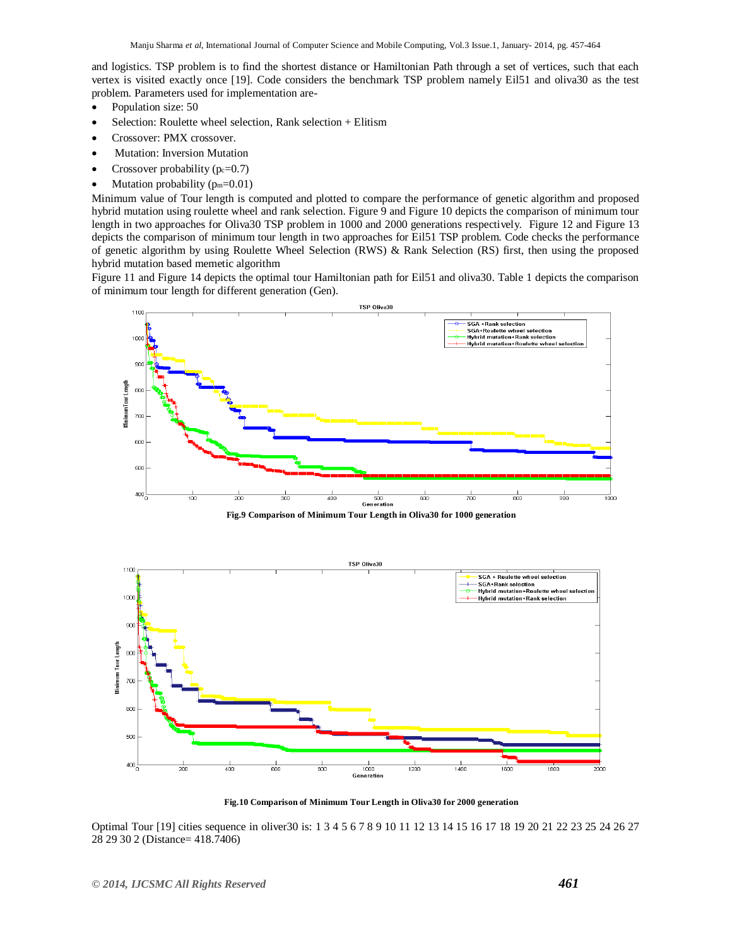and logistics. TSP problem is to find the shortest distance or Hamiltonian Path through a set of vertices, such that each vertex is visited exactly once [19]. Code considers the benchmark TSP problem namely Eil51 and oliva30 as the test problem. Parameters used for implementation are-

- Population size: 50
- Selection: Roulette wheel selection, Rank selection + Elitism
- Crossover: PMX crossover.
- Mutation: Inversion Mutation
- Crossover probability  $(p_c=0.7)$
- Mutation probability  $(p_m=0.01)$

Minimum value of Tour length is computed and plotted to compare the performance of genetic algorithm and proposed hybrid mutation using roulette wheel and rank selection. Figure 9 and Figure 10 depicts the comparison of minimum tour length in two approaches for Oliva30 TSP problem in 1000 and 2000 generations respectively. Figure 12 and Figure 13 depicts the comparison of minimum tour length in two approaches for Eil51 TSP problem. Code checks the performance of genetic algorithm by using Roulette Wheel Selection (RWS) & Rank Selection (RS) first, then using the proposed hybrid mutation based memetic algorithm

Figure 11 and Figure 14 depicts the optimal tour Hamiltonian path for Eil51 and oliva30. Table 1 depicts the comparison of minimum tour length for different generation (Gen).



**Fig.9 Comparison of Minimum Tour Length in Oliva30 for 1000 generation**



**Fig.10 Comparison of Minimum Tour Length in Oliva30 for 2000 generation**

Optimal Tour [19] cities sequence in oliver30 is: 1 3 4 5 6 7 8 9 10 11 12 13 14 15 16 17 18 19 20 21 22 23 25 24 26 27 28 29 30 2 (Distance= 418.7406)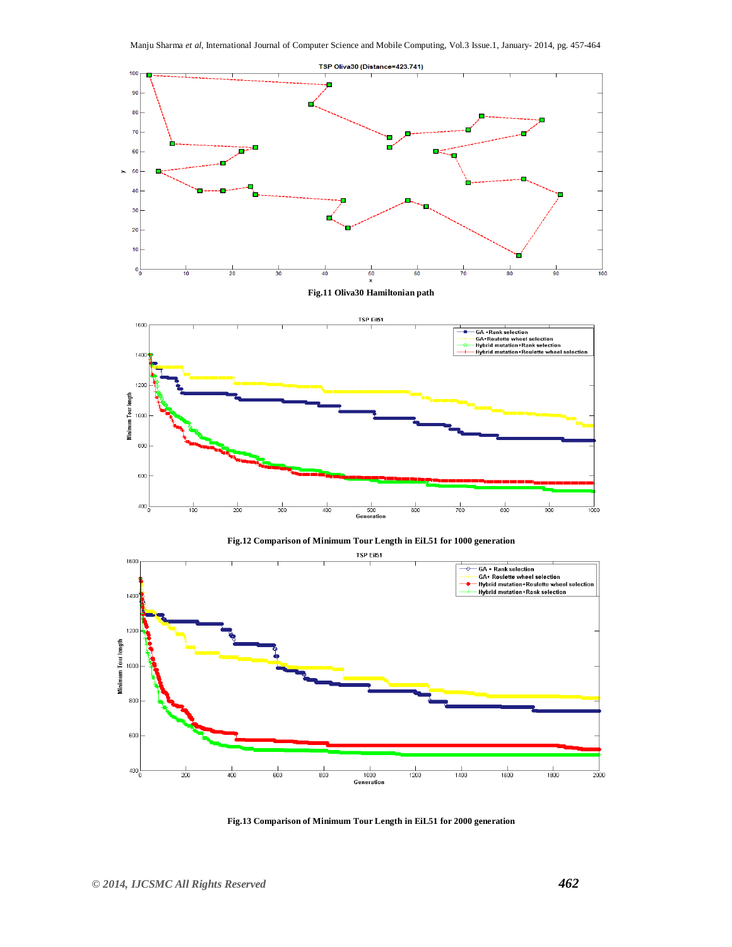





**Fig.13 Comparison of Minimum Tour Length in EiL51 for 2000 generation**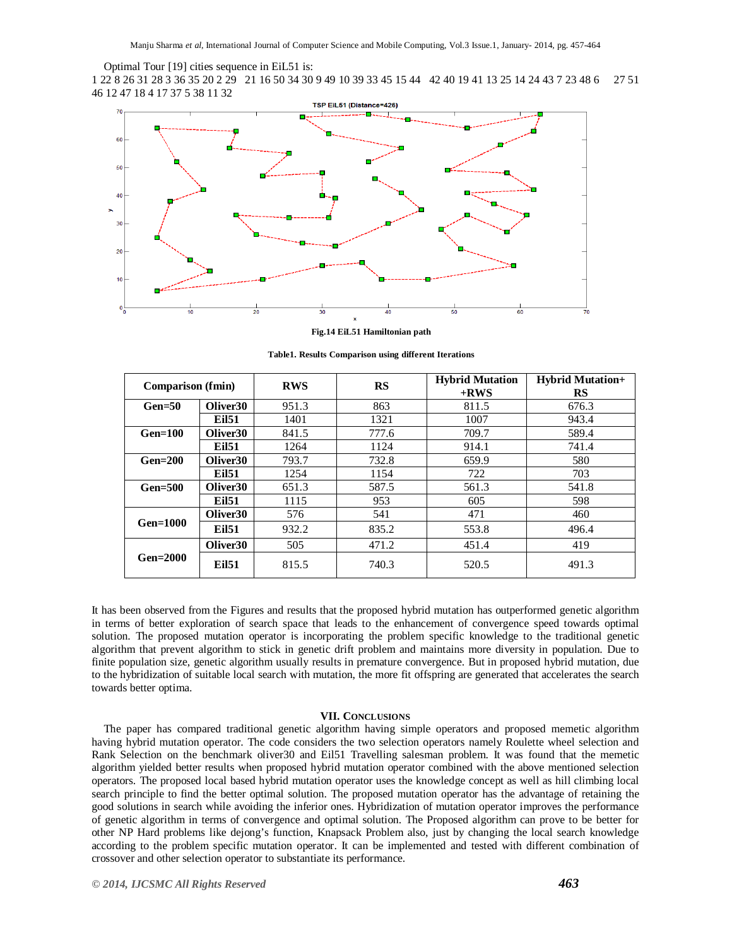Optimal Tour [19] cities sequence in EiL51 is:

1 22 8 26 31 28 3 36 35 20 2 29 21 16 50 34 30 9 49 10 39 33 45 15 44 42 40 19 41 13 25 14 24 43 7 23 48 6 27 51 46 12 47 18 4 17 37 5 38 11 32



**Fig.14 EiL51 Hamiltonian path**

**Table1. Results Comparison using different Iterations**

| <b>Comparison</b> (fmin) |                      | <b>RWS</b> | <b>RS</b> | <b>Hybrid Mutation</b><br>$+{\bf RWS}$ | <b>Hybrid Mutation+</b><br><b>RS</b> |
|--------------------------|----------------------|------------|-----------|----------------------------------------|--------------------------------------|
| $Gen = 50$               | Oliver <sub>30</sub> | 951.3      | 863       | 811.5                                  | 676.3                                |
|                          | <b>Eil51</b>         | 1401       | 1321      | 1007                                   | 943.4                                |
| $Gen=100$                | Oliver <sub>30</sub> | 841.5      | 777.6     | 709.7                                  | 589.4                                |
|                          | <b>Eil51</b>         | 1264       | 1124      | 914.1                                  | 741.4                                |
| $Gen = 200$              | Oliver <sub>30</sub> | 793.7      | 732.8     | 659.9                                  | 580                                  |
|                          | <b>Eil51</b>         | 1254       | 1154      | 722                                    | 703                                  |
| $Gen = 500$              | Oliver <sub>30</sub> | 651.3      | 587.5     | 561.3                                  | 541.8                                |
|                          | <b>Eil51</b>         | 1115       | 953       | 605                                    | 598                                  |
|                          | Oliver <sub>30</sub> | 576        | 541       | 471                                    | 460                                  |
| $Gen=1000$               | <b>Eil51</b>         | 932.2      | 835.2     | 553.8                                  | 496.4                                |
|                          | Oliver <sub>30</sub> | 505        | 471.2     | 451.4                                  | 419                                  |
| $Gen = 2000$             | <b>Eil51</b>         | 815.5      | 740.3     | 520.5                                  | 491.3                                |

It has been observed from the Figures and results that the proposed hybrid mutation has outperformed genetic algorithm in terms of better exploration of search space that leads to the enhancement of convergence speed towards optimal solution. The proposed mutation operator is incorporating the problem specific knowledge to the traditional genetic algorithm that prevent algorithm to stick in genetic drift problem and maintains more diversity in population. Due to finite population size, genetic algorithm usually results in premature convergence. But in proposed hybrid mutation, due to the hybridization of suitable local search with mutation, the more fit offspring are generated that accelerates the search towards better optima.

# **VII. CONCLUSIONS**

The paper has compared traditional genetic algorithm having simple operators and proposed memetic algorithm having hybrid mutation operator. The code considers the two selection operators namely Roulette wheel selection and Rank Selection on the benchmark oliver30 and Eil51 Travelling salesman problem. It was found that the memetic algorithm yielded better results when proposed hybrid mutation operator combined with the above mentioned selection operators. The proposed local based hybrid mutation operator uses the knowledge concept as well as hill climbing local search principle to find the better optimal solution. The proposed mutation operator has the advantage of retaining the good solutions in search while avoiding the inferior ones. Hybridization of mutation operator improves the performance of genetic algorithm in terms of convergence and optimal solution. The Proposed algorithm can prove to be better for other NP Hard problems like dejong's function, Knapsack Problem also, just by changing the local search knowledge according to the problem specific mutation operator. It can be implemented and tested with different combination of crossover and other selection operator to substantiate its performance.